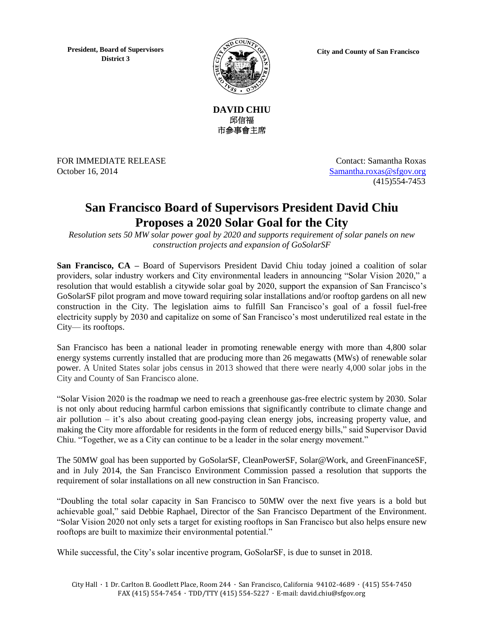**President, Board of Supervisors District 3**



**City and County of San Francisco**



FOR IMMEDIATE RELEASE Contact: Samantha Roxas October 16, 2014 [Samantha.roxas@sfgov.org](mailto:Samantha.roxas@sfgov.org)

(415)554-7453

## **San Francisco Board of Supervisors President David Chiu Proposes a 2020 Solar Goal for the City**

*Resolution sets 50 MW solar power goal by 2020 and supports requirement of solar panels on new construction projects and expansion of GoSolarSF*

**San Francisco, CA** – Board of Supervisors President David Chiu today joined a coalition of solar providers, solar industry workers and City environmental leaders in announcing "Solar Vision 2020," a resolution that would establish a citywide solar goal by 2020, support the expansion of San Francisco's GoSolarSF pilot program and move toward requiring solar installations and/or rooftop gardens on all new construction in the City. The legislation aims to fulfill San Francisco's goal of a fossil fuel-free electricity supply by 2030 and capitalize on some of San Francisco's most underutilized real estate in the City— its rooftops.

San Francisco has been a national leader in promoting renewable energy with more than 4,800 solar energy systems currently installed that are producing more than 26 megawatts (MWs) of renewable solar power. A United States solar jobs census in 2013 showed that there were nearly 4,000 solar jobs in the City and County of San Francisco alone.

"Solar Vision 2020 is the roadmap we need to reach a greenhouse gas-free electric system by 2030. Solar is not only about reducing harmful carbon emissions that significantly contribute to climate change and air pollution – it's also about creating good-paying clean energy jobs, increasing property value, and making the City more affordable for residents in the form of reduced energy bills," said Supervisor David Chiu. "Together, we as a City can continue to be a leader in the solar energy movement."

The 50MW goal has been supported by GoSolarSF, CleanPowerSF, Solar@Work, and GreenFinanceSF, and in July 2014, the San Francisco Environment Commission passed a resolution that supports the requirement of solar installations on all new construction in San Francisco.

"Doubling the total solar capacity in San Francisco to 50MW over the next five years is a bold but achievable goal," said Debbie Raphael, Director of the San Francisco Department of the Environment. "Solar Vision 2020 not only sets a target for existing rooftops in San Francisco but also helps ensure new rooftops are built to maximize their environmental potential."

While successful, the City's solar incentive program, GoSolarSF, is due to sunset in 2018.